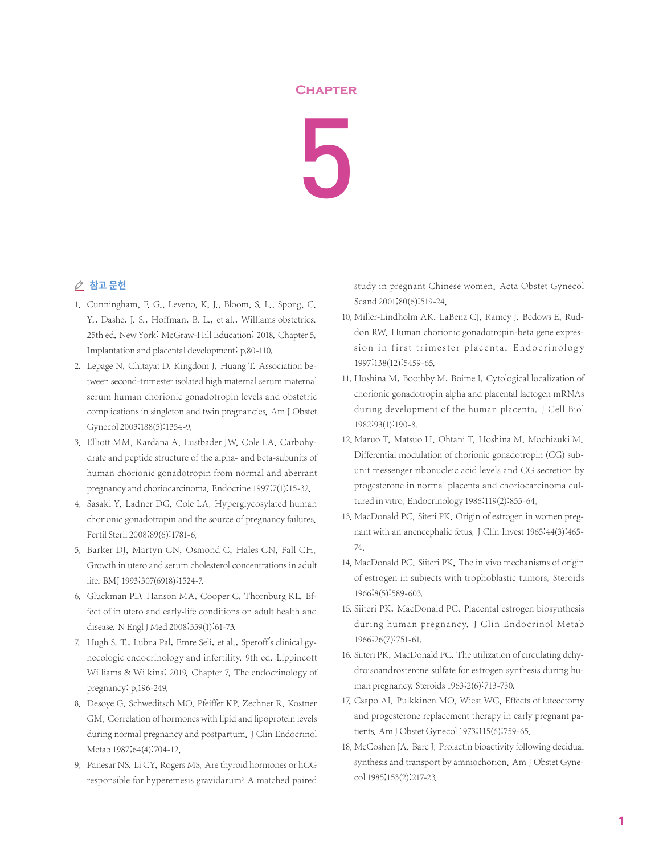## **Chapter**



## △ 참고 문헌

- 1. Cunningham, F. G., Leveno, K. J., Bloom, S. L., Spong, C. Y., Dashe, J. S., Hoffman, B. L., et al., Williams obstetrics. 25th ed. New York: McGraw-Hill Education; 2018. Chapter 5, Implantation and placental development; p.80-110.
- 2. Lepage N, Chitayat D, Kingdom J, Huang T. Association between second-trimester isolated high maternal serum maternal serum human chorionic gonadotropin levels and obstetric complications in singleton and twin pregnancies. Am J Obstet Gynecol 2003;188(5):1354-9.
- 3. Elliott MM, Kardana A, Lustbader JW, Cole LA. Carbohydrate and peptide structure of the alpha- and beta-subunits of human chorionic gonadotropin from normal and aberrant pregnancy and choriocarcinoma. Endocrine 1997;7(1):15-32.
- 4. Sasaki Y, Ladner DG, Cole LA. Hyperglycosylated human chorionic gonadotropin and the source of pregnancy failures. Fertil Steril 2008;89(6):1781-6.
- 5. Barker DJ, Martyn CN, Osmond C, Hales CN, Fall CH. Growth in utero and serum cholesterol concentrations in adult life. BMJ 1993;307(6918):1524-7.
- 6. Gluckman PD, Hanson MA, Cooper C, Thornburg KL. Effect of in utero and early-life conditions on adult health and disease. N Engl J Med 2008;359(1):61-73.
- 7. Hugh S. T., Lubna Pal, Emre Seli, et al., Speroff's clinical gynecologic endocrinology and infertility. 9th ed. Lippincott Williams & Wilkins; 2019. Chapter 7, The endocrinology of pregnancy; p.196-249.
- 8. Desoye G, Schweditsch MO, Pfeiffer KP, Zechner R, Kostner GM. Correlation of hormones with lipid and lipoprotein levels during normal pregnancy and postpartum. J Clin Endocrinol Metab 1987;64(4):704-12.
- 9. Panesar NS, Li CY, Rogers MS. Are thyroid hormones or hCG responsible for hyperemesis gravidarum? A matched paired

study in pregnant Chinese women. Acta Obstet Gynecol Scand 2001;80(6):519-24.

- 10. Miller-Lindholm AK, LaBenz CJ, Ramey J, Bedows E, Ruddon RW. Human chorionic gonadotropin-beta gene expression in first trimester placenta. Endocrinology 1997;138(12):5459-65.
- 11. Hoshina M, Boothby M, Boime I. Cytological localization of chorionic gonadotropin alpha and placental lactogen mRNAs during development of the human placenta. J Cell Biol 1982;93(1):190-8.
- 12. Maruo T, Matsuo H, Ohtani T, Hoshina M, Mochizuki M. Differential modulation of chorionic gonadotropin (CG) subunit messenger ribonucleic acid levels and CG secretion by progesterone in normal placenta and choriocarcinoma cultured in vitro. Endocrinology 1986;119(2):855-64.
- 13. MacDonald PC, Siteri PK. Origin of estrogen in women pregnant with an anencephalic fetus. J Clin Invest 1965;44(3):465- 74.
- 14. MacDonald PC, Siiteri PK. The in vivo mechanisms of origin of estrogen in subjects with trophoblastic tumors. Steroids 1966;8(5):589-603.
- 15. Siiteri PK, MacDonald PC. Placental estrogen biosynthesis during human pregnancy. J Clin Endocrinol Metab 1966;26(7):751-61.
- 16. Siiteri PK, MacDonald PC. The utilization of circulating dehydroisoandrosterone sulfate for estrogen synthesis during human pregnancy. Steroids 1963;2(6):713-730.
- 17. Csapo AI, Pulkkinen MO, Wiest WG. Effects of luteectomy and progesterone replacement therapy in early pregnant patients. Am J Obstet Gynecol 1973;115(6):759-65.
- 18. McCoshen JA, Barc J. Prolactin bioactivity following decidual synthesis and transport by amniochorion. Am J Obstet Gynecol 1985;153(2):217-23.